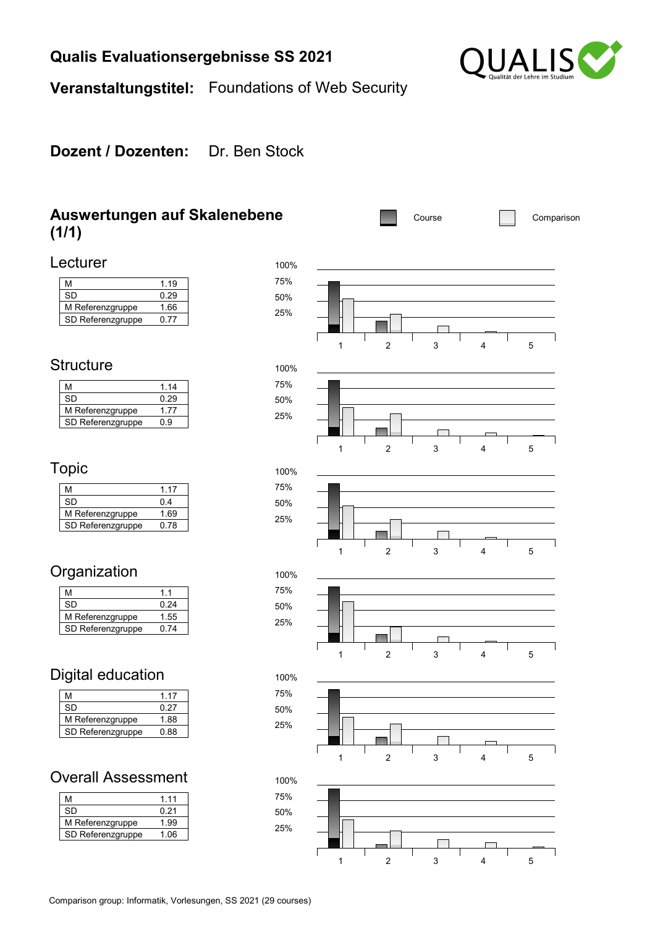### **Qualis Evaluationsergebnisse SS 2021**



**Veranstaltungstitel:** Foundations of Web Security

#### **Dozent / Dozenten:** Dr. Ben Stock

#### **Auswertungen auf Skalenebene (1/1)**

 $\frac{0.29}{1.66}$ 



1 2 3 4 5

#### **Structure**

Lecturer

| м                 | 1 14 |
|-------------------|------|
| SD                | 0 29 |
| M Referenzgruppe  | 177  |
| SD Referenzgruppe | ი 9  |

M 1.19<br>SD 0.29

SD Referenzgruppe 0.77

M Referenzgruppe

#### Topic

| м                 | 1.17 |
|-------------------|------|
| SD                | 04   |
| M Referenzgruppe  | 1.69 |
| SD Referenzgruppe | በ 78 |

### **Organization**

| м                 | 11   |
|-------------------|------|
| SD                | በ 24 |
| M Referenzgruppe  | 1.55 |
| SD Referenzgruppe | በ 74 |

### Digital education

| м                 | 1 17 |
|-------------------|------|
| SD                | 0 27 |
| M Referenzgruppe  | 1.88 |
| SD Referenzgruppe | 0.88 |

#### Overall Assessment

| м                 | 1 1 1 |
|-------------------|-------|
| .SD               | 0.21  |
| M Referenzgruppe  | 1.99  |
| SD Referenzgruppe | 1.06  |

25%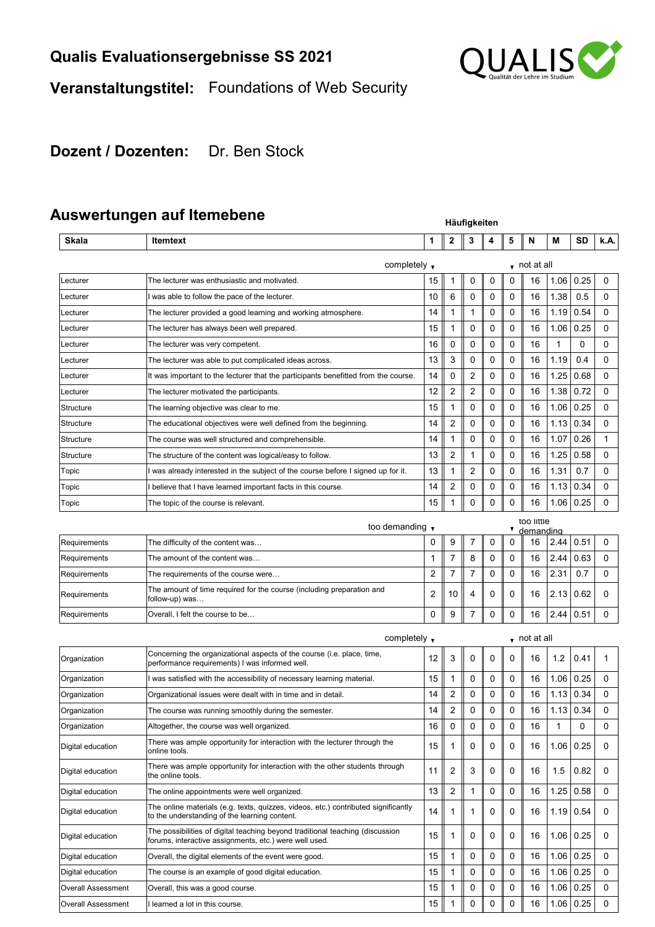

# **Veranstaltungstitel:** Foundations of Web Security

## **Dozent / Dozenten:** Dr. Ben Stock

# **Auswertungen auf Itemebene**

|                           | məmarmından ayı ilginengile                                                                                                             | Häufigkeiten |                         |                |   |             |                      |      |      |             |  |
|---------------------------|-----------------------------------------------------------------------------------------------------------------------------------------|--------------|-------------------------|----------------|---|-------------|----------------------|------|------|-------------|--|
| Skala                     | <b>Itemtext</b>                                                                                                                         | 1            | 2                       | 3              | 4 | 5           | N                    | М    | SD   | k.A.        |  |
|                           | completely $\mathbf{\mathsf{v}}$                                                                                                        |              |                         |                |   |             | $\bullet$ not at all |      |      |             |  |
| Lecturer                  | The lecturer was enthusiastic and motivated.                                                                                            | 15           | 1                       | 0              | 0 | 0           | 16                   | 1.06 | 0.25 | 0           |  |
| Lecturer                  | I was able to follow the pace of the lecturer.                                                                                          | 10           | 6                       | $\mathbf 0$    | 0 | 0           | 16                   | 1.38 | 0.5  | 0           |  |
| Lecturer                  | The lecturer provided a good learning and working atmosphere.                                                                           | 14           | 1                       | $\mathbf{1}$   | 0 | 0           | 16                   | 1.19 | 0.54 | $\mathbf 0$ |  |
| Lecturer                  | The lecturer has always been well prepared.                                                                                             | 15           | 1                       | 0              | 0 | 0           | 16                   | 1.06 | 0.25 | 0           |  |
| Lecturer                  | The lecturer was very competent.                                                                                                        | 16           | 0                       | 0              | 0 | $\mathbf 0$ | 16                   | 1    | 0    | 0           |  |
| Lecturer                  | The lecturer was able to put complicated ideas across.                                                                                  | 13           | 3                       | 0              | 0 | 0           | 16                   | 1.19 | 0.4  | 0           |  |
| Lecturer                  | It was important to the lecturer that the participants benefitted from the course.                                                      | 14           | 0                       | $\overline{2}$ | 0 | 0           | 16                   | 1.25 | 0.68 | 0           |  |
| Lecturer                  | The lecturer motivated the participants.                                                                                                | 12           | 2                       | $\overline{2}$ | 0 | 0           | 16                   | 1.38 | 0.72 | $\mathbf 0$ |  |
| Structure                 | The learning objective was clear to me.                                                                                                 | 15           | 1                       | 0              | 0 | 0           | 16                   | 1.06 | 0.25 | 0           |  |
| Structure                 | The educational objectives were well defined from the beginning.                                                                        | 14           | 2                       | 0              | 0 | $\mathbf 0$ | 16                   | 1.13 | 0.34 | 0           |  |
| Structure                 | The course was well structured and comprehensible.                                                                                      | 14           | 1                       | $\Omega$       | 0 | 0           | 16                   | 1.07 | 0.26 | 1           |  |
| Structure                 | The structure of the content was logical/easy to follow.                                                                                | 13           | $\overline{2}$          | $\mathbf 1$    | 0 | 0           | 16                   | 1.25 | 0.58 | 0           |  |
| Topic                     | I was already interested in the subject of the course before I signed up for it.                                                        | 13           | 1                       | $\overline{2}$ | 0 | 0           | 16                   | 1.31 | 0.7  | $\mathbf 0$ |  |
| Topic                     | I believe that I have learned important facts in this course.                                                                           | 14           | 2                       | 0              | 0 | 0           | 16                   | 1.13 | 0.34 | 0           |  |
| Topic                     | The topic of the course is relevant.                                                                                                    | 15           | 1                       | $\mathbf 0$    | 0 | $\mathbf 0$ | 16                   | 1.06 | 0.25 | 0           |  |
|                           | too demanding v                                                                                                                         |              |                         |                |   | ▼           | too little           |      |      |             |  |
| Requirements              | The difficulty of the content was                                                                                                       | 0            | 9                       | 7              | 0 | 0           | demanding<br>16      | 2.44 | 0.51 | 0           |  |
| Requirements              | The amount of the content was                                                                                                           | 1            | $\overline{7}$          | 8              | 0 | 0           | 16                   | 2.44 | 0.63 | 0           |  |
| Requirements              | The requirements of the course were                                                                                                     | 2            | 7                       | 7              | 0 | 0           | 16                   | 2.31 | 0.7  | 0           |  |
| Requirements              | The amount of time required for the course (including preparation and<br>follow-up) was                                                 | 2            | 10                      | 4              | 0 | 0           | 16                   | 2.13 | 0.62 | 0           |  |
| Requirements              | Overall, I felt the course to be                                                                                                        | 0            | 9                       | $\overline{7}$ | 0 | 0           | 16                   | 2.44 | 0.51 | 0           |  |
|                           | completely $\overline{\mathbf{v}}$                                                                                                      |              |                         |                |   |             | $\bullet$ not at all |      |      |             |  |
| Organization              | Concerning the organizational aspects of the course (i.e. place, time,<br>performance requirements) I was informed well.                | 12           | 3                       | 0              | 0 | 0           | 16                   | 1.2  | 0.41 | 1           |  |
| Organization              | was satisfied with the accessibility of necessary learning material.                                                                    | 15           | 1                       | 0              | 0 | 0           | 16                   | 1.06 | 0.25 | 0           |  |
| Organization              | Organizational issues were dealt with in time and in detail.                                                                            | 14           | 2                       | 0              | 0 | 0           | 16                   | 1.13 | 0.34 | 0           |  |
| Organization              | The course was running smoothly during the semester.                                                                                    | 14           | $\overline{\mathbf{c}}$ | 0              | 0 | $\mathbf 0$ | 16                   | 1.13 | 0.34 | 0           |  |
| Organization              | Altogether, the course was well organized.                                                                                              | 16           | 0                       | 0              | 0 | 0           | 16                   | 1    | 0    | 0           |  |
| Digital education         | There was ample opportunity for interaction with the lecturer through the<br>online tools.                                              | 15           | 1                       | 0              | 0 | 0           | 16                   | 1.06 | 0.25 | 0           |  |
| Digital education         | There was ample opportunity for interaction with the other students through<br>the online tools.                                        | 11           | 2                       | 3              | 0 | 0           | 16                   | 1.5  | 0.82 | 0           |  |
| Digital education         | The online appointments were well organized.                                                                                            | 13           | $\overline{c}$          | $\mathbf 1$    | 0 | 0           | 16                   | 1.25 | 0.58 | 0           |  |
| Digital education         | The online materials (e.g. texts, quizzes, videos, etc.) contributed significantly<br>to the understanding of the learning content.     | 14           | 1                       | 1              | 0 | 0           | 16                   | 1.19 | 0.54 | 0           |  |
| Digital education         | The possibilities of digital teaching beyond traditional teaching (discussion<br>forums, interactive assignments, etc.) were well used. | 15           | 1                       | 0              | 0 | 0           | 16                   | 1.06 | 0.25 | 0           |  |
| Digital education         | Overall, the digital elements of the event were good.                                                                                   | 15           | 1                       | $\mathbf 0$    | 0 | 0           | 16                   | 1.06 | 0.25 | 0           |  |
| Digital education         | The course is an example of good digital education.                                                                                     | 15           | 1                       | 0              | 0 | 0           | 16                   | 1.06 | 0.25 | 0           |  |
| <b>Overall Assessment</b> | Overall, this was a good course.                                                                                                        | 15           | 1                       | 0              | 0 | 0           | 16                   | 1.06 | 0.25 | 0           |  |
| Overall Assessment        | I learned a lot in this course.                                                                                                         | 15           | 1                       | 0              | 0 | 0           | 16                   | 1.06 | 0.25 | 0           |  |